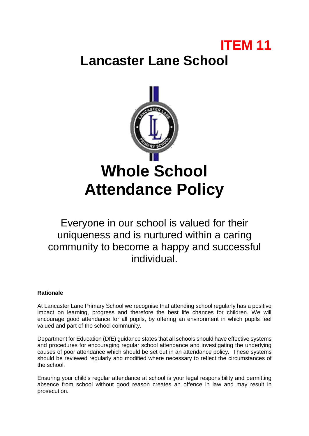# **ITEM 11 Lancaster Lane School**



Everyone in our school is valued for their uniqueness and is nurtured within a caring community to become a happy and successful individual.

# **Rationale**

At Lancaster Lane Primary School we recognise that attending school regularly has a positive impact on learning, progress and therefore the best life chances for children. We will encourage good attendance for all pupils, by offering an environment in which pupils feel valued and part of the school community.

Department for Education (DfE) guidance states that all schools should have effective systems and procedures for encouraging regular school attendance and investigating the underlying causes of poor attendance which should be set out in an attendance policy. These systems should be reviewed regularly and modified where necessary to reflect the circumstances of the school.

Ensuring your child's regular attendance at school is your legal responsibility and permitting absence from school without good reason creates an offence in law and may result in prosecution.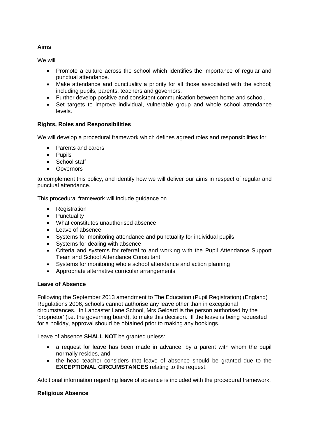# **Aims**

We will

- Promote a culture across the school which identifies the importance of regular and punctual attendance.
- Make attendance and punctuality a priority for all those associated with the school; including pupils, parents, teachers and governors.
- Further develop positive and consistent communication between home and school.
- Set targets to improve individual, vulnerable group and whole school attendance levels.

## **Rights, Roles and Responsibilities**

We will develop a procedural framework which defines agreed roles and responsibilities for

- Parents and carers
- Pupils
- School staff
- **•** Governors

to complement this policy, and identify how we will deliver our aims in respect of regular and punctual attendance.

This procedural framework will include guidance on

- Registration
- Punctuality
- What constitutes unauthorised absence
- Leave of absence
- Systems for monitoring attendance and punctuality for individual pupils
- Systems for dealing with absence
- Criteria and systems for referral to and working with the Pupil Attendance Support Team and School Attendance Consultant
- Systems for monitoring whole school attendance and action planning
- Appropriate alternative curricular arrangements

## **Leave of Absence**

Following the September 2013 amendment to The Education (Pupil Registration) (England) Regulations 2006, schools cannot authorise any leave other than in exceptional circumstances. In Lancaster Lane School, Mrs Geldard is the person authorised by the 'proprietor' (i.e. the governing board), to make this decision. If the leave is being requested for a holiday, approval should be obtained prior to making any bookings.

Leave of absence **SHALL NOT** be granted unless:

- a request for leave has been made in advance, by a parent with whom the pupil normally resides, and
- the head teacher considers that leave of absence should be granted due to the **EXCEPTIONAL CIRCUMSTANCES** relating to the request.

Additional information regarding leave of absence is included with the procedural framework.

## **Religious Absence**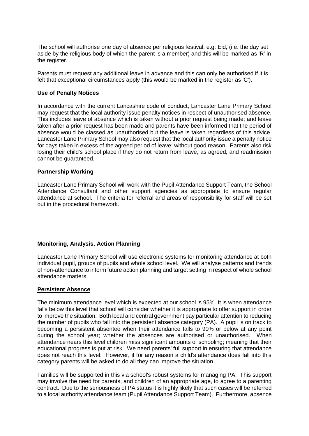The school will authorise one day of absence per religious festival, e.g. Eid, (i.e. the day set aside by the religious body of which the parent is a member) and this will be marked as 'R' in the register.

Parents must request any additional leave in advance and this can only be authorised if it is felt that exceptional circumstances apply (this would be marked in the register as 'C').

#### **Use of Penalty Notices**

In accordance with the current Lancashire code of conduct, Lancaster Lane Primary School may request that the local authority issue penalty notices in respect of unauthorised absence. This includes leave of absence which is taken without a prior request being made; and leave taken after a prior request has been made and parents have been informed that the period of absence would be classed as unauthorised but the leave is taken regardless of this advice. Lancaster Lane Primary School may also request that the local authority issue a penalty notice for days taken in excess of the agreed period of leave; without good reason. Parents also risk losing their child's school place if they do not return from leave, as agreed, and readmission cannot be guaranteed.

#### **Partnership Working**

Lancaster Lane Primary School will work with the Pupil Attendance Support Team, the School Attendance Consultant and other support agencies as appropriate to ensure regular attendance at school. The criteria for referral and areas of responsibility for staff will be set out in the procedural framework.

## **Monitoring, Analysis, Action Planning**

Lancaster Lane Primary School will use electronic systems for monitoring attendance at both individual pupil, groups of pupils and whole school level. We will analyse patterns and trends of non-attendance to inform future action planning and target setting in respect of whole school attendance matters.

#### **Persistent Absence**

The minimum attendance level which is expected at our school is 95%. It is when attendance falls below this level that school will consider whether it is appropriate to offer support in order to improve the situation. Both local and central government pay particular attention to reducing the number of pupils who fall into the persistent absence category (PA). A pupil is on track to becoming a persistent absentee when their attendance falls to 90% or below at any point during the school year; whether the absences are authorised or unauthorised. When attendance nears this level children miss significant amounts of schooling; meaning that their educational progress is put at risk. We need parents' full support in ensuring that attendance does not reach this level. However, if for any reason a child's attendance does fall into this category parents will be asked to do all they can improve the situation.

Families will be supported in this via school's robust systems for managing PA. This support may involve the need for parents, and children of an appropriate age, to agree to a parenting contract. Due to the seriousness of PA status it is highly likely that such cases will be referred to a local authority attendance team (Pupil Attendance Support Team). Furthermore, absence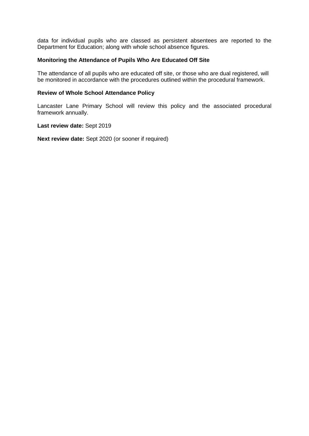data for individual pupils who are classed as persistent absentees are reported to the Department for Education; along with whole school absence figures.

#### **Monitoring the Attendance of Pupils Who Are Educated Off Site**

The attendance of all pupils who are educated off site, or those who are dual registered, will be monitored in accordance with the procedures outlined within the procedural framework.

#### **Review of Whole School Attendance Policy**

Lancaster Lane Primary School will review this policy and the associated procedural framework annually.

#### **Last review date:** Sept 2019

**Next review date:** Sept 2020 (or sooner if required)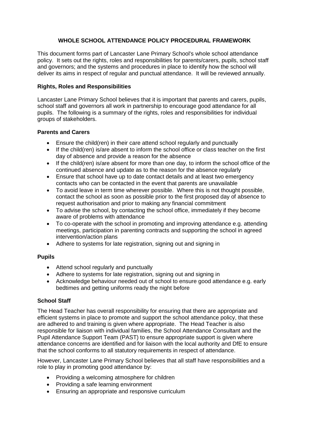# **WHOLE SCHOOL ATTENDANCE POLICY PROCEDURAL FRAMEWORK**

This document forms part of Lancaster Lane Primary School's whole school attendance policy. It sets out the rights, roles and responsibilities for parents/carers, pupils, school staff and governors; and the systems and procedures in place to identify how the school will deliver its aims in respect of regular and punctual attendance. It will be reviewed annually.

# **Rights, Roles and Responsibilities**

Lancaster Lane Primary School believes that it is important that parents and carers, pupils, school staff and governors all work in partnership to encourage good attendance for all pupils. The following is a summary of the rights, roles and responsibilities for individual groups of stakeholders.

# **Parents and Carers**

- Ensure the child(ren) in their care attend school regularly and punctually
- If the child(ren) is/are absent to inform the school office or class teacher on the first day of absence and provide a reason for the absence
- If the child(ren) is/are absent for more than one day, to inform the school office of the continued absence and update as to the reason for the absence regularly
- Ensure that school have up to date contact details and at least two emergency contacts who can be contacted in the event that parents are unavailable
- To avoid leave in term time wherever possible. Where this is not thought possible, contact the school as soon as possible prior to the first proposed day of absence to request authorisation and prior to making any financial commitment
- To advise the school, by contacting the school office, immediately if they become aware of problems with attendance
- To co-operate with the school in promoting and improving attendance e.g. attending meetings, participation in parenting contracts and supporting the school in agreed intervention/action plans
- Adhere to systems for late registration, signing out and signing in

# **Pupils**

- Attend school regularly and punctually
- Adhere to systems for late registration, signing out and signing in
- Acknowledge behaviour needed out of school to ensure good attendance e.g. early bedtimes and getting uniforms ready the night before

## **School Staff**

The Head Teacher has overall responsibility for ensuring that there are appropriate and efficient systems in place to promote and support the school attendance policy, that these are adhered to and training is given where appropriate. The Head Teacher is also responsible for liaison with individual families, the School Attendance Consultant and the Pupil Attendance Support Team (PAST) to ensure appropriate support is given where attendance concerns are identified and for liaison with the local authority and DfE to ensure that the school conforms to all statutory requirements in respect of attendance.

However, Lancaster Lane Primary School believes that all staff have responsibilities and a role to play in promoting good attendance by:

- Providing a welcoming atmosphere for children
- Providing a safe learning environment
- Ensuring an appropriate and responsive curriculum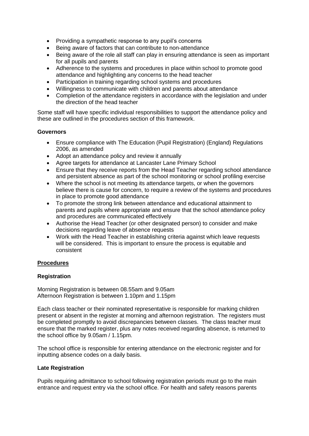- Providing a sympathetic response to any pupil's concerns
- Being aware of factors that can contribute to non-attendance
- Being aware of the role all staff can play in ensuring attendance is seen as important for all pupils and parents
- Adherence to the systems and procedures in place within school to promote good attendance and highlighting any concerns to the head teacher
- Participation in training regarding school systems and procedures
- Willingness to communicate with children and parents about attendance
- Completion of the attendance registers in accordance with the legislation and under the direction of the head teacher

Some staff will have specific individual responsibilities to support the attendance policy and these are outlined in the procedures section of this framework.

## **Governors**

- Ensure compliance with The Education (Pupil Registration) (England) Regulations 2006, as amended
- Adopt an attendance policy and review it annually
- Agree targets for attendance at Lancaster Lane Primary School
- Ensure that they receive reports from the Head Teacher regarding school attendance and persistent absence as part of the school monitoring or school profiling exercise
- Where the school is not meeting its attendance targets, or when the governors believe there is cause for concern, to require a review of the systems and procedures in place to promote good attendance
- To promote the strong link between attendance and educational attainment to parents and pupils where appropriate and ensure that the school attendance policy and procedures are communicated effectively
- Authorise the Head Teacher (or other designated person) to consider and make decisions regarding leave of absence requests
- Work with the Head Teacher in establishing criteria against which leave requests will be considered. This is important to ensure the process is equitable and consistent

## **Procedures**

## **Registration**

Morning Registration is between 08.55am and 9.05am Afternoon Registration is between 1.10pm and 1.15pm

Each class teacher or their nominated representative is responsible for marking children present or absent in the register at morning and afternoon registration. The registers must be completed promptly to avoid discrepancies between classes. The class teacher must ensure that the marked register, plus any notes received regarding absence, is returned to the school office by 9.05am / 1.15pm.

The school office is responsible for entering attendance on the electronic register and for inputting absence codes on a daily basis.

## **Late Registration**

Pupils requiring admittance to school following registration periods must go to the main entrance and request entry via the school office. For health and safety reasons parents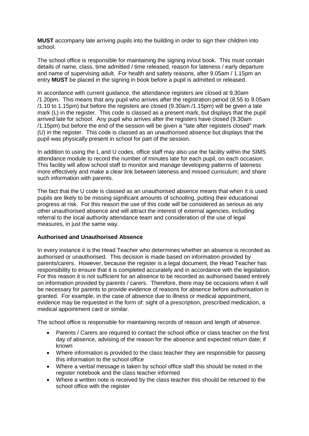**MUST** accompany late arriving pupils into the building in order to sign their children into school.

The school office is responsible for maintaining the signing in/out book. This must contain details of name, class, time admitted / time released, reason for lateness / early departure and name of supervising adult. For health and safety reasons, after 9.05am / 1.15pm an entry **MUST** be placed in the signing in book before a pupil is admitted or released.

In accordance with current guidance, the attendance registers are closed at 9.30am /1.20pm. This means that any pupil who arrives after the registration period (8.55 to 9.05am /1.10 to 1.15pm) but before the registers are closed (9.30am /1.15pm) will be given a late mark (L) in the register. This code is classed as a present mark, but displays that the pupil arrived late for school. Any pupil who arrives after the registers have closed (9.30am /1.15pm) but before the end of the session will be given a "late after registers closed" mark (U) in the register. This code is classed as an unauthorised absence but displays that the pupil was physically present in school for part of the session.

In addition to using the L and U codes, office staff may also use the facility within the SIMS attendance module to record the number of minutes late for each pupil, on each occasion. This facility will allow school staff to monitor and manage developing patterns of lateness more effectively and make a clear link between lateness and missed curriculum; and share such information with parents.

The fact that the U code is classed as an unauthorised absence means that when it is used pupils are likely to be missing significant amounts of schooling, putting their educational progress at risk. For this reason the use of this code will be considered as serious as any other unauthorised absence and will attract the interest of external agencies, including referral to the local authority attendance team and consideration of the use of legal measures, in just the same way.

## **Authorised and Unauthorised Absence**

In every instance it is the Head Teacher who determines whether an absence is recorded as authorised or unauthorised. This decision is made based on information provided by parents/carers. However, because the register is a legal document, the Head Teacher has responsibility to ensure that it is completed accurately and in accordance with the legislation. For this reason it is not sufficient for an absence to be recorded as authorised based entirely on information provided by parents / carers. Therefore, there may be occasions when it will be necessary for parents to provide evidence of reasons for absence before authorisation is granted. For example, in the case of absence due to illness or medical appointment, evidence may be requested in the form of: sight of a prescription, prescribed medication, a medical appointment card or similar.

The school office is responsible for maintaining records of reason and length of absence.

- Parents / Carers are required to contact the school office or class teacher on the first day of absence, advising of the reason for the absence and expected return date; if known
- Where information is provided to the class teacher they are responsible for passing this information to the school office
- Where a verbal message is taken by school office staff this should be noted in the register notebook and the class teacher informed
- Where a written note is received by the class teacher this should be returned to the school office with the register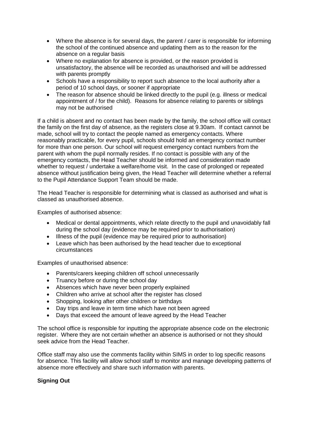- Where the absence is for several days, the parent / carer is responsible for informing the school of the continued absence and updating them as to the reason for the absence on a regular basis
- Where no explanation for absence is provided, or the reason provided is unsatisfactory, the absence will be recorded as unauthorised and will be addressed with parents promptly
- Schools have a responsibility to report such absence to the local authority after a period of 10 school days, or sooner if appropriate
- The reason for absence should be linked directly to the pupil (e.g. illness or medical appointment of / for the child). Reasons for absence relating to parents or siblings may not be authorised

If a child is absent and no contact has been made by the family, the school office will contact the family on the first day of absence, as the registers close at 9.30am. If contact cannot be made, school will try to contact the people named as emergency contacts. Where reasonably practicable, for every pupil, schools should hold an emergency contact number for more than one person. Our school will request emergency contact numbers from the parent with whom the pupil normally resides. If no contact is possible with any of the emergency contacts, the Head Teacher should be informed and consideration made whether to request / undertake a welfare/home visit. In the case of prolonged or repeated absence without justification being given, the Head Teacher will determine whether a referral to the Pupil Attendance Support Team should be made.

The Head Teacher is responsible for determining what is classed as authorised and what is classed as unauthorised absence.

Examples of authorised absence:

- Medical or dental appointments, which relate directly to the pupil and unavoidably fall during the school day (evidence may be required prior to authorisation)
- Illness of the pupil (evidence may be required prior to authorisation)
- Leave which has been authorised by the head teacher due to exceptional circumstances

Examples of unauthorised absence:

- Parents/carers keeping children off school unnecessarily
- Truancy before or during the school day
- Absences which have never been properly explained
- Children who arrive at school after the register has closed
- Shopping, looking after other children or birthdays
- Day trips and leave in term time which have not been agreed
- Days that exceed the amount of leave agreed by the Head Teacher

The school office is responsible for inputting the appropriate absence code on the electronic register. Where they are not certain whether an absence is authorised or not they should seek advice from the Head Teacher.

Office staff may also use the comments facility within SIMS in order to log specific reasons for absence. This facility will allow school staff to monitor and manage developing patterns of absence more effectively and share such information with parents.

## **Signing Out**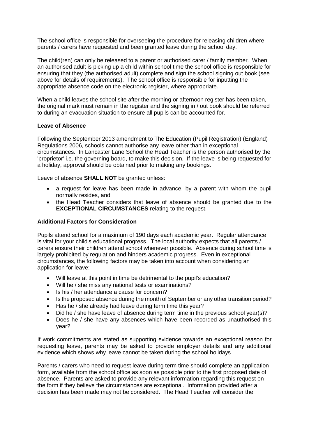The school office is responsible for overseeing the procedure for releasing children where parents / carers have requested and been granted leave during the school day.

The child(ren) can only be released to a parent or authorised carer / family member. When an authorised adult is picking up a child within school time the school office is responsible for ensuring that they (the authorised adult) complete and sign the school signing out book (see above for details of requirements). The school office is responsible for inputting the appropriate absence code on the electronic register, where appropriate.

When a child leaves the school site after the morning or afternoon register has been taken, the original mark must remain in the register and the signing in / out book should be referred to during an evacuation situation to ensure all pupils can be accounted for.

#### **Leave of Absence**

Following the September 2013 amendment to The Education (Pupil Registration) (England) Regulations 2006, schools cannot authorise any leave other than in exceptional circumstances. In Lancaster Lane School the Head Teacher is the person authorised by the 'proprietor' i.e. the governing board, to make this decision. If the leave is being requested for a holiday, approval should be obtained prior to making any bookings.

Leave of absence **SHALL NOT** be granted unless:

- a request for leave has been made in advance, by a parent with whom the pupil normally resides, and
- the Head Teacher considers that leave of absence should be granted due to the **EXCEPTIONAL CIRCUMSTANCES** relating to the request.

## **Additional Factors for Consideration**

Pupils attend school for a maximum of 190 days each academic year. Regular attendance is vital for your child's educational progress. The local authority expects that all parents / carers ensure their children attend school whenever possible. Absence during school time is largely prohibited by regulation and hinders academic progress. Even in exceptional circumstances, the following factors may be taken into account when considering an application for leave:

- Will leave at this point in time be detrimental to the pupil's education?
- Will he / she miss any national tests or examinations?
- Is his / her attendance a cause for concern?
- Is the proposed absence during the month of September or any other transition period?
- Has he / she already had leave during term time this year?
- Did he / she have leave of absence during term time in the previous school year(s)?
- Does he / she have any absences which have been recorded as unauthorised this year?

If work commitments are stated as supporting evidence towards an exceptional reason for requesting leave, parents may be asked to provide employer details and any additional evidence which shows why leave cannot be taken during the school holidays

Parents / carers who need to request leave during term time should complete an application form, available from the school office as soon as possible prior to the first proposed date of absence. Parents are asked to provide any relevant information regarding this request on the form if they believe the circumstances are exceptional. Information provided after a decision has been made may not be considered. The Head Teacher will consider the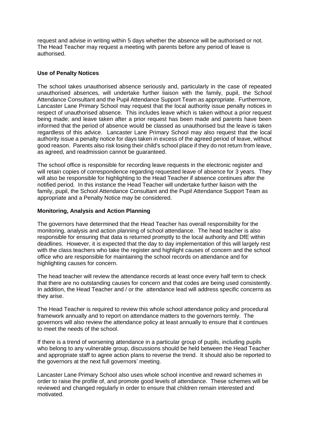request and advise in writing within 5 days whether the absence will be authorised or not. The Head Teacher may request a meeting with parents before any period of leave is authorised.

#### **Use of Penalty Notices**

The school takes unauthorised absence seriously and, particularly in the case of repeated unauthorised absences, will undertake further liaison with the family, pupil, the School Attendance Consultant and the Pupil Attendance Support Team as appropriate. Furthermore, Lancaster Lane Primary School may request that the local authority issue penalty notices in respect of unauthorised absence. This includes leave which is taken without a prior request being made; and leave taken after a prior request has been made and parents have been informed that the period of absence would be classed as unauthorised but the leave is taken regardless of this advice. Lancaster Lane Primary School may also request that the local authority issue a penalty notice for days taken in excess of the agreed period of leave, without good reason. Parents also risk losing their child's school place if they do not return from leave, as agreed, and readmission cannot be guaranteed.

The school office is responsible for recording leave requests in the electronic register and will retain copies of correspondence regarding requested leave of absence for 3 years. They will also be responsible for highlighting to the Head Teacher if absence continues after the notified period. In this instance the Head Teacher will undertake further liaison with the family, pupil, the School Attendance Consultant and the Pupil Attendance Support Team as appropriate and a Penalty Notice may be considered.

## **Monitoring, Analysis and Action Planning**

The governors have determined that the Head Teacher has overall responsibility for the monitoring, analysis and action planning of school attendance. The head teacher is also responsible for ensuring that data is returned promptly to the local authority and DfE within deadlines. However, it is expected that the day to day implementation of this will largely rest with the class teachers who take the register and highlight causes of concern and the school office who are responsible for maintaining the school records on attendance and for highlighting causes for concern.

The head teacher will review the attendance records at least once every half term to check that there are no outstanding causes for concern and that codes are being used consistently. In addition, the Head Teacher and / or the attendance lead will address specific concerns as they arise.

The Head Teacher is required to review this whole school attendance policy and procedural framework annually and to report on attendance matters to the governors termly. The governors will also review the attendance policy at least annually to ensure that it continues to meet the needs of the school.

If there is a trend of worsening attendance in a particular group of pupils, including pupils who belong to any vulnerable group, discussions should be held between the Head Teacher and appropriate staff to agree action plans to reverse the trend. It should also be reported to the governors at the next full governors' meeting.

Lancaster Lane Primary School also uses whole school incentive and reward schemes in order to raise the profile of, and promote good levels of attendance. These schemes will be reviewed and changed regularly in order to ensure that children remain interested and motivated.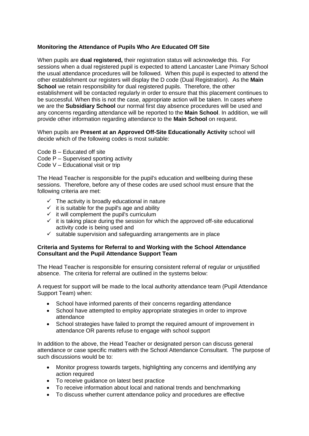# **Monitoring the Attendance of Pupils Who Are Educated Off Site**

When pupils are **dual registered,** their registration status will acknowledge this. For sessions when a dual registered pupil is expected to attend Lancaster Lane Primary School the usual attendance procedures will be followed. When this pupil is expected to attend the other establishment our registers will display the D code (Dual Registration). As the **Main School** we retain responsibility for dual registered pupils. Therefore, the other establishment will be contacted regularly in order to ensure that this placement continues to be successful. When this is not the case, appropriate action will be taken. In cases where we are the **Subsidiary School** our normal first day absence procedures will be used and any concerns regarding attendance will be reported to the **Main School**. In addition, we will provide other information regarding attendance to the **Main School** on request.

When pupils are **Present at an Approved Off-Site Educationally Activity** school will decide which of the following codes is most suitable:

- Code B Educated off site
- Code P Supervised sporting activity
- Code V Educational visit or trip

The Head Teacher is responsible for the pupil's education and wellbeing during these sessions. Therefore, before any of these codes are used school must ensure that the following criteria are met:

- $\checkmark$  The activity is broadly educational in nature
- $\checkmark$  it is suitable for the pupil's age and ability
- $\checkmark$  it will complement the pupil's curriculum
- $\checkmark$  it is taking place during the session for which the approved off-site educational activity code is being used and
- $\checkmark$  suitable supervision and safeguarding arrangements are in place

#### **Criteria and Systems for Referral to and Working with the School Attendance Consultant and the Pupil Attendance Support Team**

The Head Teacher is responsible for ensuring consistent referral of regular or unjustified absence. The criteria for referral are outlined in the systems below:

A request for support will be made to the local authority attendance team (Pupil Attendance Support Team) when:

- School have informed parents of their concerns regarding attendance
- School have attempted to employ appropriate strategies in order to improve attendance
- School strategies have failed to prompt the required amount of improvement in attendance OR parents refuse to engage with school support

In addition to the above, the Head Teacher or designated person can discuss general attendance or case specific matters with the School Attendance Consultant. The purpose of such discussions would be to:

- Monitor progress towards targets, highlighting any concerns and identifying any action required
- To receive quidance on latest best practice
- To receive information about local and national trends and benchmarking
- To discuss whether current attendance policy and procedures are effective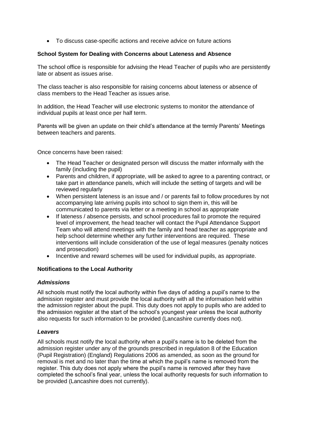To discuss case-specific actions and receive advice on future actions

# **School System for Dealing with Concerns about Lateness and Absence**

The school office is responsible for advising the Head Teacher of pupils who are persistently late or absent as issues arise.

The class teacher is also responsible for raising concerns about lateness or absence of class members to the Head Teacher as issues arise.

In addition, the Head Teacher will use electronic systems to monitor the attendance of individual pupils at least once per half term.

Parents will be given an update on their child's attendance at the termly Parents' Meetings between teachers and parents.

Once concerns have been raised:

- The Head Teacher or designated person will discuss the matter informally with the family (including the pupil)
- Parents and children, if appropriate, will be asked to agree to a parenting contract, or take part in attendance panels, which will include the setting of targets and will be reviewed regularly
- When persistent lateness is an issue and / or parents fail to follow procedures by not accompanying late arriving pupils into school to sign them in, this will be communicated to parents via letter or a meeting in school as appropriate
- If lateness / absence persists, and school procedures fail to promote the required level of improvement, the head teacher will contact the Pupil Attendance Support Team who will attend meetings with the family and head teacher as appropriate and help school determine whether any further interventions are required. These interventions will include consideration of the use of legal measures (penalty notices and prosecution)
- Incentive and reward schemes will be used for individual pupils, as appropriate.

## **Notifications to the Local Authority**

#### *Admissions*

All schools must notify the local authority within five days of adding a pupil's name to the admission register and must provide the local authority with all the information held within the admission register about the pupil. This duty does not apply to pupils who are added to the admission register at the start of the school's youngest year unless the local authority also requests for such information to be provided (Lancashire currently does not).

## *Leavers*

All schools must notify the local authority when a pupil's name is to be deleted from the admission register under any of the grounds prescribed in regulation 8 of the Education (Pupil Registration) (England) Regulations 2006 as amended, as soon as the ground for removal is met and no later than the time at which the pupil's name is removed from the register. This duty does not apply where the pupil's name is removed after they have completed the school's final year, unless the local authority requests for such information to be provided (Lancashire does not currently).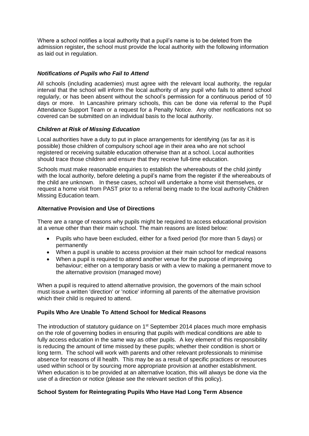Where a school notifies a local authority that a pupil's name is to be deleted from the admission register**,** the school must provide the local authority with the following information as laid out in regulation.

## *Notifications of Pupils who Fail to Attend*

All schools (including academies) must agree with the relevant local authority, the regular interval that the school will inform the local authority of any pupil who fails to attend school regularly, or has been absent without the school's permission for a continuous period of 10 days or more. In Lancashire primary schools, this can be done via referral to the Pupil Attendance Support Team or a request for a Penalty Notice. Any other notifications not so covered can be submitted on an individual basis to the local authority.

## *Children at Risk of Missing Education*

Local authorities have a duty to put in place arrangements for identifying (as far as it is possible) those children of compulsory school age in their area who are not school registered or receiving suitable education otherwise than at a school. Local authorities should trace those children and ensure that they receive full-time education.

Schools must make reasonable enquiries to establish the whereabouts of the child jointly with the local authority, before deleting a pupil's name from the register if the whereabouts of the child are unknown. In these cases, school will undertake a home visit themselves, or request a home visit from PAST prior to a referral being made to the local authority Children Missing Education team.

## **Alternative Provision and Use of Directions**

There are a range of reasons why pupils might be required to access educational provision at a venue other than their main school. The main reasons are listed below:

- Pupils who have been excluded, either for a fixed period (for more than 5 days) or permanently
- When a pupil is unable to access provision at their main school for medical reasons
- When a pupil is required to attend another venue for the purpose of improving behaviour; either on a temporary basis or with a view to making a permanent move to the alternative provision (managed move)

When a pupil is required to attend alternative provision, the governors of the main school must issue a written 'direction' or 'notice' informing all parents of the alternative provision which their child is required to attend.

## **Pupils Who Are Unable To Attend School for Medical Reasons**

The introduction of statutory guidance on 1<sup>st</sup> September 2014 places much more emphasis on the role of governing bodies in ensuring that pupils with medical conditions are able to fully access education in the same way as other pupils. A key element of this responsibility is reducing the amount of time missed by these pupils; whether their condition is short or long term. The school will work with parents and other relevant professionals to minimise absence for reasons of ill health. This may be as a result of specific practices or resources used within school or by sourcing more appropriate provision at another establishment. When education is to be provided at an alternative location, this will always be done via the use of a direction or notice (please see the relevant section of this policy).

## **School System for Reintegrating Pupils Who Have Had Long Term Absence**